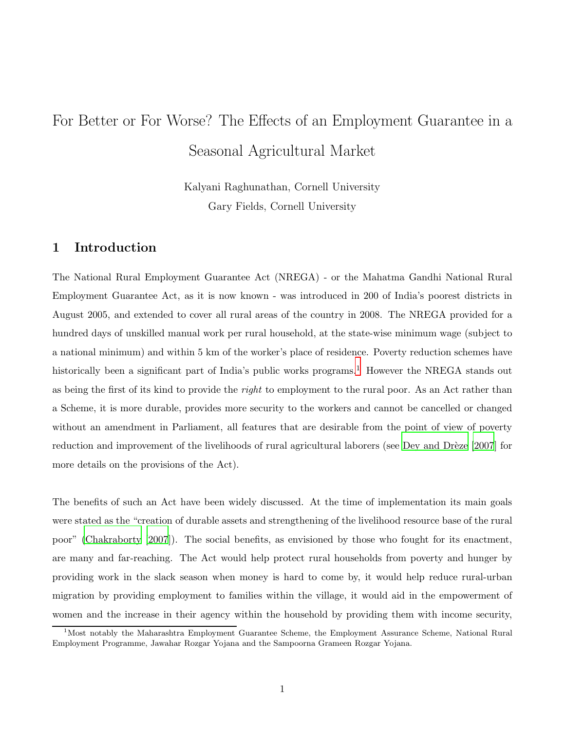# For Better or For Worse? The Effects of an Employment Guarantee in a Seasonal Agricultural Market

Kalyani Raghunathan, Cornell University Gary Fields, Cornell University

## <span id="page-0-0"></span>1 Introduction

The National Rural Employment Guarantee Act (NREGA) - or the Mahatma Gandhi National Rural Employment Guarantee Act, as it is now known - was introduced in 200 of India's poorest districts in August 2005, and extended to cover all rural areas of the country in 2008. The NREGA provided for a hundred days of unskilled manual work per rural household, at the state-wise minimum wage (subject to a national minimum) and within 5 km of the worker's place of residence. Poverty reduction schemes have historically been a significant part of India's public works programs.<sup>1</sup> However the NREGA stands out as being the first of its kind to provide the right to employment to the rural poor. As an Act rather than a Scheme, it is more durable, provides more security to the workers and cannot be cancelled or changed without an amendment in Parliament, all features that are desirable from the point of view of poverty reduction and improvement of the livelihoods of rural agricultural laborers (see Dey and Drèze [2007] for more details on the provisions of the Act).

The benefits of such an Act have been widely discussed. At the time of implementation its main goals were stated as the "creation of durable assets and strengthening of the livelihood resource base of the rural poor" [\(Chakraborty \[2007](#page-27-1)]). The social benefits, as envisioned by those who fought for its enactment, are many and far-reaching. The Act would help protect rural households from poverty and hunger by providing work in the slack season when money is hard to come by, it would help reduce rural-urban migration by providing employment to families within the village, it would aid in the empowerment of women and the increase in their agency within the household by providing them with income security,

 $1$ Most notably the Maharashtra Employment Guarantee Scheme, the Employment Assurance Scheme, National Rural Employment Programme, Jawahar Rozgar Yojana and the Sampoorna Grameen Rozgar Yojana.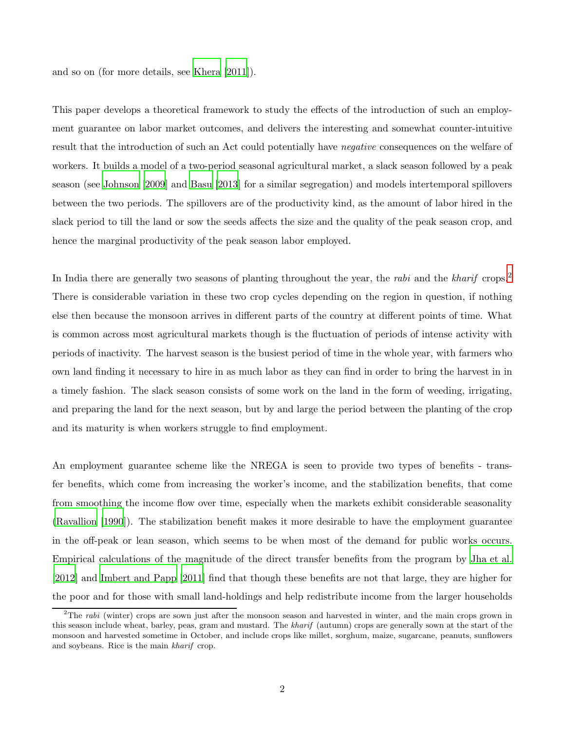and so on (for more details, see [Khera \[2011](#page-27-2)]).

This paper develops a theoretical framework to study the effects of the introduction of such an employment guarantee on labor market outcomes, and delivers the interesting and somewhat counter-intuitive result that the introduction of such an Act could potentially have negative consequences on the welfare of workers. It builds a model of a two-period seasonal agricultural market, a slack season followed by a peak season (see [Johnson \[2009](#page-27-3)] and [Basu \[2013](#page-27-4)] for a similar segregation) and models intertemporal spillovers between the two periods. The spillovers are of the productivity kind, as the amount of labor hired in the slack period to till the land or sow the seeds affects the size and the quality of the peak season crop, and hence the marginal productivity of the peak season labor employed.

In India there are generally two seasons of planting throughout the year, the rabi and the kharif crops.<sup>2</sup> There is considerable variation in these two crop cycles depending on the region in question, if nothing else then because the monsoon arrives in different parts of the country at different points of time. What is common across most agricultural markets though is the fluctuation of periods of intense activity with periods of inactivity. The harvest season is the busiest period of time in the whole year, with farmers who own land finding it necessary to hire in as much labor as they can find in order to bring the harvest in in a timely fashion. The slack season consists of some work on the land in the form of weeding, irrigating, and preparing the land for the next season, but by and large the period between the planting of the crop and its maturity is when workers struggle to find employment.

An employment guarantee scheme like the NREGA is seen to provide two types of benefits - transfer benefits, which come from increasing the worker's income, and the stabilization benefits, that come from smoothing the income flow over time, especially when the markets exhibit considerable seasonality [\(Ravallion \[1990](#page-28-0)]). The stabilization benefit makes it more desirable to have the employment guarantee in the off-peak or lean season, which seems to be when most of the demand for public works occurs. Empirical calculations of the magnitude of the direct transfer benefits from the program by [Jha et al.](#page-27-5) [\[2012](#page-27-5)] and [Imbert and Papp \[2011](#page-27-6)] find that though these benefits are not that large, they are higher for the poor and for those with small land-holdings and help redistribute income from the larger households

 $2$ The rabi (winter) crops are sown just after the monsoon season and harvested in winter, and the main crops grown in this season include wheat, barley, peas, gram and mustard. The kharif (autumn) crops are generally sown at the start of the monsoon and harvested sometime in October, and include crops like millet, sorghum, maize, sugarcane, peanuts, sunflowers and soybeans. Rice is the main kharif crop.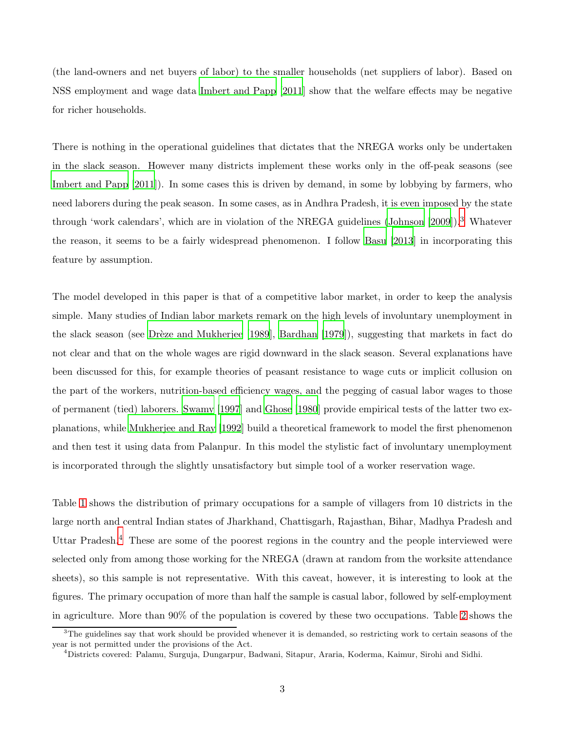(the land-owners and net buyers of labor) to the smaller households (net suppliers of labor). Based on NSS employment and wage data [Imbert and Papp \[2011](#page-27-6)] show that the welfare effects may be negative for richer households.

There is nothing in the operational guidelines that dictates that the NREGA works only be undertaken in the slack season. However many districts implement these works only in the off-peak seasons (see [Imbert and Papp \[2011](#page-27-6)]). In some cases this is driven by demand, in some by lobbying by farmers, who need laborers during the peak season. In some cases, as in Andhra Pradesh, it is even imposed by the state through 'work calendars', which are in violation of the NREGA guidelines [\(Johnson \[2009](#page-27-3)]).<sup>3</sup> Whatever the reason, it seems to be a fairly widespread phenomenon. I follow [Basu \[2013](#page-27-4)] in incorporating this feature by assumption.

The model developed in this paper is that of a competitive labor market, in order to keep the analysis simple. Many studies of Indian labor markets remark on the high levels of involuntary unemployment in the slack season (see Drèze and Mukherjee [1989], [Bardhan \[1979](#page-27-8)]), suggesting that markets in fact do not clear and that on the whole wages are rigid downward in the slack season. Several explanations have been discussed for this, for example theories of peasant resistance to wage cuts or implicit collusion on the part of the workers, nutrition-based efficiency wages, and the pegging of casual labor wages to those of permanent (tied) laborers. [Swamy \[1997](#page-28-1)] and [Ghose \[1980](#page-27-9)] provide empirical tests of the latter two explanations, while [Mukherjee and Ray \[1992\]](#page-28-2) build a theoretical framework to model the first phenomenon and then test it using data from Palanpur. In this model the stylistic fact of involuntary unemployment is incorporated through the slightly unsatisfactory but simple tool of a worker reservation wage.

Table [1](#page-3-0) shows the distribution of primary occupations for a sample of villagers from 10 districts in the large north and central Indian states of Jharkhand, Chattisgarh, Rajasthan, Bihar, Madhya Pradesh and Uttar Pradesh.<sup>4</sup> These are some of the poorest regions in the country and the people interviewed were selected only from among those working for the NREGA (drawn at random from the worksite attendance sheets), so this sample is not representative. With this caveat, however, it is interesting to look at the figures. The primary occupation of more than half the sample is casual labor, followed by self-employment in agriculture. More than 90% of the population is covered by these two occupations. Table [2](#page-3-1) shows the

 $3$ The guidelines say that work should be provided whenever it is demanded, so restricting work to certain seasons of the year is not permitted under the provisions of the Act.

<sup>4</sup>Districts covered: Palamu, Surguja, Dungarpur, Badwani, Sitapur, Araria, Koderma, Kaimur, Sirohi and Sidhi.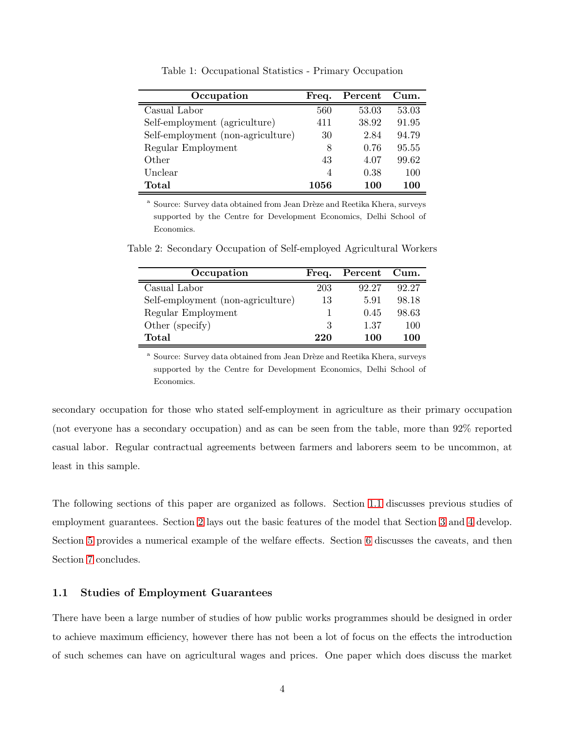<span id="page-3-0"></span>

| Occupation                        | Freq. | Percent | Cum.  |
|-----------------------------------|-------|---------|-------|
| Casual Labor                      | 560   | 53.03   | 53.03 |
| Self-employment (agriculture)     | 411   | 38.92   | 91.95 |
| Self-employment (non-agriculture) | 30    | 2.84    | 94.79 |
| Regular Employment                | 8     | 0.76    | 95.55 |
| Other                             | 43    | 4.07    | 99.62 |
| Unclear                           | 4     | 0.38    | 100   |
| Total                             | 1056  | 100     | 100   |

Table 1: Occupational Statistics - Primary Occupation

<sup>a</sup> Source: Survey data obtained from Jean Drèze and Reetika Khera, surveys supported by the Centre for Development Economics, Delhi School of Economics.

| Occupation                        | Freq. | Percent Cum. |       |
|-----------------------------------|-------|--------------|-------|
| Casual Labor                      | 203   | 92.27        | 92.27 |
| Self-employment (non-agriculture) | 13    | 5.91         | 98.18 |
| Regular Employment                |       | 0.45         | 98.63 |
| Other (specify)                   | 3     | 1.37         | 100   |
| Total                             | 220   | 100          | 100   |

<span id="page-3-1"></span>Table 2: Secondary Occupation of Self-employed Agricultural Workers

<sup>a</sup> Source: Survey data obtained from Jean Drèze and Reetika Khera, surveys supported by the Centre for Development Economics, Delhi School of Economics.

secondary occupation for those who stated self-employment in agriculture as their primary occupation (not everyone has a secondary occupation) and as can be seen from the table, more than 92% reported casual labor. Regular contractual agreements between farmers and laborers seem to be uncommon, at least in this sample.

The following sections of this paper are organized as follows. Section [1.1](#page-3-2) discusses previous studies of employment guarantees. Section [2](#page-4-0) lays out the basic features of the model that Section [3](#page-6-0) and [4](#page-12-0) develop. Section [5](#page-20-0) provides a numerical example of the welfare effects. Section [6](#page-25-0) discusses the caveats, and then Section [7](#page-26-0) concludes.

### <span id="page-3-2"></span>1.1 Studies of Employment Guarantees

There have been a large number of studies of how public works programmes should be designed in order to achieve maximum efficiency, however there has not been a lot of focus on the effects the introduction of such schemes can have on agricultural wages and prices. One paper which does discuss the market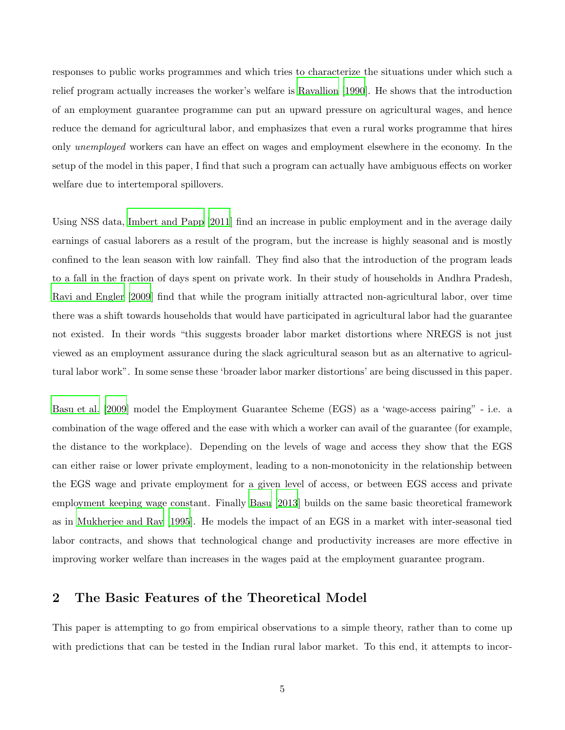responses to public works programmes and which tries to characterize the situations under which such a relief program actually increases the worker's welfare is [Ravallion \[1990\]](#page-28-0). He shows that the introduction of an employment guarantee programme can put an upward pressure on agricultural wages, and hence reduce the demand for agricultural labor, and emphasizes that even a rural works programme that hires only unemployed workers can have an effect on wages and employment elsewhere in the economy. In the setup of the model in this paper, I find that such a program can actually have ambiguous effects on worker welfare due to intertemporal spillovers.

Using NSS data, [Imbert and Papp \[2011](#page-27-6)] find an increase in public employment and in the average daily earnings of casual laborers as a result of the program, but the increase is highly seasonal and is mostly confined to the lean season with low rainfall. They find also that the introduction of the program leads to a fall in the fraction of days spent on private work. In their study of households in Andhra Pradesh, [Ravi and Engler \[2009](#page-28-3)] find that while the program initially attracted non-agricultural labor, over time there was a shift towards households that would have participated in agricultural labor had the guarantee not existed. In their words "this suggests broader labor market distortions where NREGS is not just viewed as an employment assurance during the slack agricultural season but as an alternative to agricultural labor work". In some sense these 'broader labor marker distortions' are being discussed in this paper.

[Basu et al. \[2009](#page-27-10)] model the Employment Guarantee Scheme (EGS) as a 'wage-access pairing" - i.e. a combination of the wage offered and the ease with which a worker can avail of the guarantee (for example, the distance to the workplace). Depending on the levels of wage and access they show that the EGS can either raise or lower private employment, leading to a non-monotonicity in the relationship between the EGS wage and private employment for a given level of access, or between EGS access and private employment keeping wage constant. Finally [Basu \[2013\]](#page-27-4) builds on the same basic theoretical framework as in [Mukherjee and Ray \[1995](#page-28-4)]. He models the impact of an EGS in a market with inter-seasonal tied labor contracts, and shows that technological change and productivity increases are more effective in improving worker welfare than increases in the wages paid at the employment guarantee program.

## <span id="page-4-0"></span>2 The Basic Features of the Theoretical Model

This paper is attempting to go from empirical observations to a simple theory, rather than to come up with predictions that can be tested in the Indian rural labor market. To this end, it attempts to incor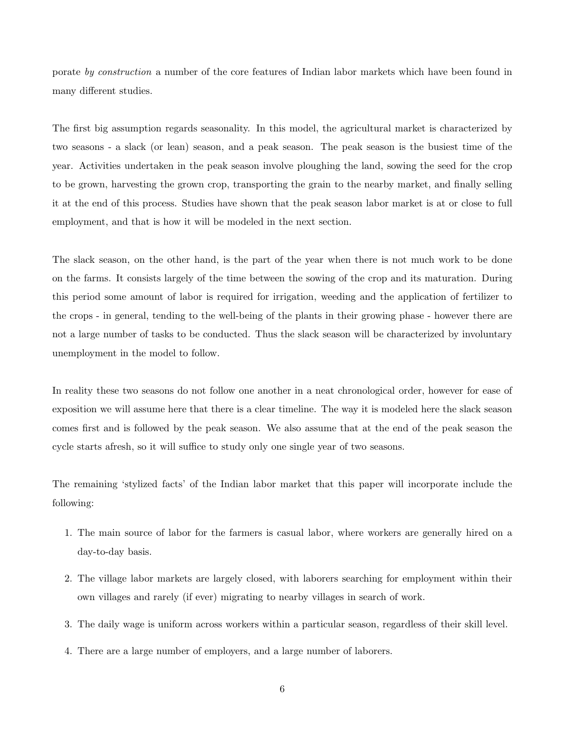porate by construction a number of the core features of Indian labor markets which have been found in many different studies.

The first big assumption regards seasonality. In this model, the agricultural market is characterized by two seasons - a slack (or lean) season, and a peak season. The peak season is the busiest time of the year. Activities undertaken in the peak season involve ploughing the land, sowing the seed for the crop to be grown, harvesting the grown crop, transporting the grain to the nearby market, and finally selling it at the end of this process. Studies have shown that the peak season labor market is at or close to full employment, and that is how it will be modeled in the next section.

The slack season, on the other hand, is the part of the year when there is not much work to be done on the farms. It consists largely of the time between the sowing of the crop and its maturation. During this period some amount of labor is required for irrigation, weeding and the application of fertilizer to the crops - in general, tending to the well-being of the plants in their growing phase - however there are not a large number of tasks to be conducted. Thus the slack season will be characterized by involuntary unemployment in the model to follow.

In reality these two seasons do not follow one another in a neat chronological order, however for ease of exposition we will assume here that there is a clear timeline. The way it is modeled here the slack season comes first and is followed by the peak season. We also assume that at the end of the peak season the cycle starts afresh, so it will suffice to study only one single year of two seasons.

The remaining 'stylized facts' of the Indian labor market that this paper will incorporate include the following:

- 1. The main source of labor for the farmers is casual labor, where workers are generally hired on a day-to-day basis.
- 2. The village labor markets are largely closed, with laborers searching for employment within their own villages and rarely (if ever) migrating to nearby villages in search of work.
- 3. The daily wage is uniform across workers within a particular season, regardless of their skill level.
- 4. There are a large number of employers, and a large number of laborers.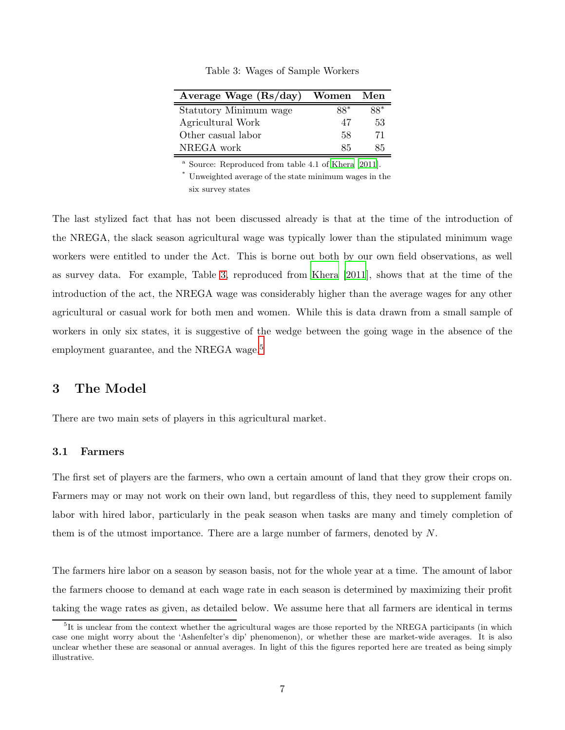<span id="page-6-1"></span>

| Average Wage $(Rs/day)$ | Women Men |     |
|-------------------------|-----------|-----|
| Statutory Minimum wage  | 88*       | 88* |
| Agricultural Work       | 47        | 53  |
| Other casual labor      | 58        | 71  |
| NREGA work              | 85        | 85  |

Table 3: Wages of Sample Workers

<sup>a</sup> Source: Reproduced from table 4.1 of [Khera \[2011](#page-27-2)].

\* Unweighted average of the state minimum wages in the six survey states

The last stylized fact that has not been discussed already is that at the time of the introduction of the NREGA, the slack season agricultural wage was typically lower than the stipulated minimum wage workers were entitled to under the Act. This is borne out both by our own field observations, as well as survey data. For example, Table [3,](#page-6-1) reproduced from [Khera \[2011\]](#page-27-2), shows that at the time of the introduction of the act, the NREGA wage was considerably higher than the average wages for any other agricultural or casual work for both men and women. While this is data drawn from a small sample of workers in only six states, it is suggestive of the wedge between the going wage in the absence of the employment guarantee, and the NREGA wage.<sup>5</sup>

## <span id="page-6-0"></span>3 The Model

There are two main sets of players in this agricultural market.

#### 3.1 Farmers

The first set of players are the farmers, who own a certain amount of land that they grow their crops on. Farmers may or may not work on their own land, but regardless of this, they need to supplement family labor with hired labor, particularly in the peak season when tasks are many and timely completion of them is of the utmost importance. There are a large number of farmers, denoted by N.

The farmers hire labor on a season by season basis, not for the whole year at a time. The amount of labor the farmers choose to demand at each wage rate in each season is determined by maximizing their profit taking the wage rates as given, as detailed below. We assume here that all farmers are identical in terms

<sup>&</sup>lt;sup>5</sup>It is unclear from the context whether the agricultural wages are those reported by the NREGA participants (in which case one might worry about the 'Ashenfelter's dip' phenomenon), or whether these are market-wide averages. It is also unclear whether these are seasonal or annual averages. In light of this the figures reported here are treated as being simply illustrative.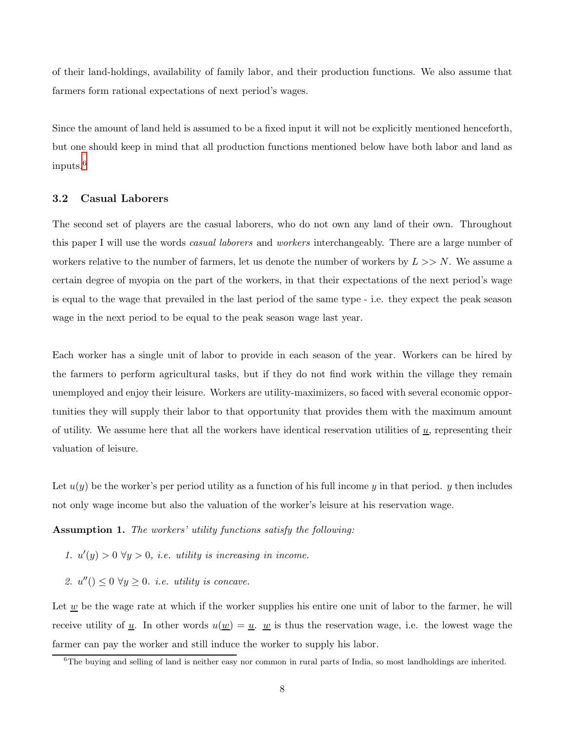of their land-holdings, availability of family labor, and their production functions. We also assume that farmers form rational expectations of next period's wages.

Since the amount of land held is assumed to be a fixed input it will not be explicitly mentioned henceforth, but one should keep in mind that all production functions mentioned below have both labor and land as inputs.<sup>6</sup>

#### 3.2 Casual Laborers

The second set of players are the casual laborers, who do not own any land of their own. Throughout this paper I will use the words *casual laborers* and *workers* interchangeably. There are a large number of workers relative to the number of farmers, let us denote the number of workers by  $L >> N$ . We assume a certain degree of myopia on the part of the workers, in that their expectations of the next period's wage is equal to the wage that prevailed in the last period of the same type - i.e. they expect the peak season wage in the next period to be equal to the peak season wage last year.

Each worker has a single unit of labor to provide in each season of the year. Workers can be hired by the farmers to perform agricultural tasks, but if they do not find work within the village they remain unemployed and enjoy their leisure. Workers are utility-maximizers, so faced with several economic opportunities they will supply their labor to that opportunity that provides them with the maximum amount of utility. We assume here that all the workers have identical reservation utilities of  $\underline{u}$ , representing their valuation of leisure.

Let  $u(y)$  be the worker's per period utility as a function of his full income y in that period. y then includes not only wage income but also the valuation of the worker's leisure at his reservation wage.

Assumption 1. The workers' utility functions satisfy the following:

- 1.  $u'(y) > 0$   $\forall y > 0$ , *i.e.* utility is increasing in income.
- 2.  $u''() \leq 0 \ \forall y \geq 0$ . *i.e.* utility is concave.

Let  $\underline{w}$  be the wage rate at which if the worker supplies his entire one unit of labor to the farmer, he will receive utility of  $\underline{u}$ . In other words  $u(\underline{w}) = \underline{u}$ .  $\underline{w}$  is thus the reservation wage, i.e. the lowest wage the farmer can pay the worker and still induce the worker to supply his labor.

 $6$ The buying and selling of land is neither easy nor common in rural parts of India, so most landholdings are inherited.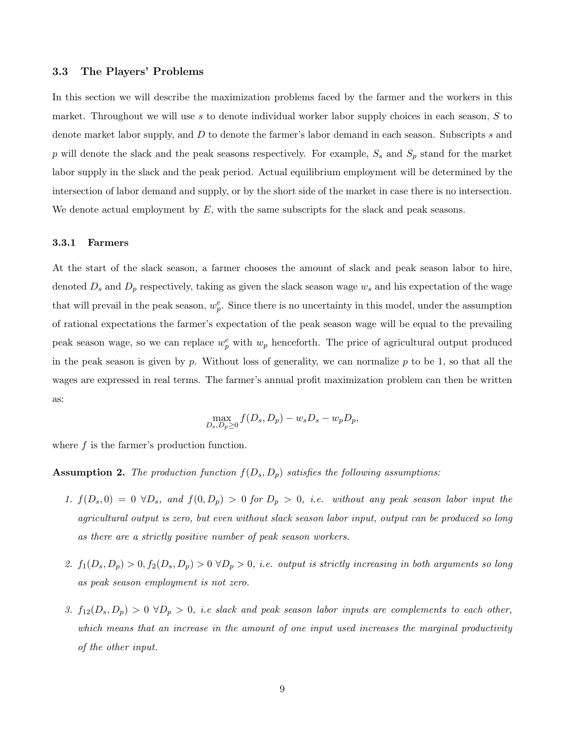#### 3.3 The Players' Problems

In this section we will describe the maximization problems faced by the farmer and the workers in this market. Throughout we will use s to denote individual worker labor supply choices in each season,  $S$  to denote market labor supply, and D to denote the farmer's labor demand in each season. Subscripts s and p will denote the slack and the peak seasons respectively. For example,  $S_s$  and  $S_p$  stand for the market labor supply in the slack and the peak period. Actual equilibrium employment will be determined by the intersection of labor demand and supply, or by the short side of the market in case there is no intersection. We denote actual employment by  $E$ , with the same subscripts for the slack and peak seasons.

#### 3.3.1 Farmers

At the start of the slack season, a farmer chooses the amount of slack and peak season labor to hire, denoted  $D_s$  and  $D_p$  respectively, taking as given the slack season wage  $w_s$  and his expectation of the wage that will prevail in the peak season,  $w_p^e$ . Since there is no uncertainty in this model, under the assumption of rational expectations the farmer's expectation of the peak season wage will be equal to the prevailing peak season wage, so we can replace  $w_p^e$  with  $w_p$  henceforth. The price of agricultural output produced in the peak season is given by p. Without loss of generality, we can normalize  $p$  to be 1, so that all the wages are expressed in real terms. The farmer's annual profit maximization problem can then be written as:

$$
\max_{D_s, D_p \ge 0} f(D_s, D_p) - w_s D_s - w_p D_p,
$$

<span id="page-8-0"></span>where  $f$  is the farmer's production function.

**Assumption 2.** The production function  $f(D_s, D_p)$  satisfies the following assumptions:

- 1.  $f(D_s, 0) = 0 \ \forall D_s$ , and  $f(0, D_p) > 0$  for  $D_p > 0$ , i.e. without any peak season labor input the agricultural output is zero, but even without slack season labor input, output can be produced so long as there are a strictly positive number of peak season workers.
- 2.  $f_1(D_s, D_p) > 0$ ,  $f_2(D_s, D_p) > 0 \ \forall D_p > 0$ , *i.e.* output is strictly increasing in both arguments so long as peak season employment is not zero.
- 3.  $f_{12}(D_s, D_p) > 0 \ \forall D_p > 0$ , i.e slack and peak season labor inputs are complements to each other, which means that an increase in the amount of one input used increases the marginal productivity of the other input.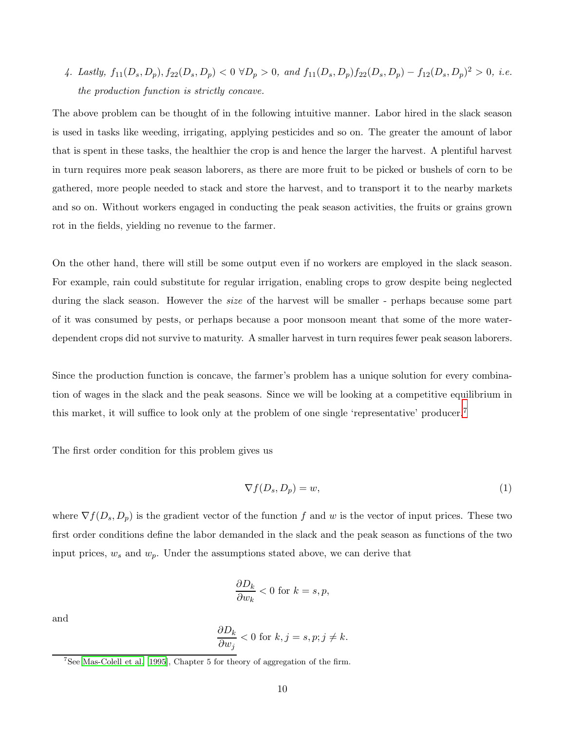4. Lastly,  $f_{11}(D_s, D_p), f_{22}(D_s, D_p) < 0 \ \forall D_p > 0$ , and  $f_{11}(D_s, D_p) f_{22}(D_s, D_p) - f_{12}(D_s, D_p)^2 > 0$ , i.e. the production function is strictly concave.

The above problem can be thought of in the following intuitive manner. Labor hired in the slack season is used in tasks like weeding, irrigating, applying pesticides and so on. The greater the amount of labor that is spent in these tasks, the healthier the crop is and hence the larger the harvest. A plentiful harvest in turn requires more peak season laborers, as there are more fruit to be picked or bushels of corn to be gathered, more people needed to stack and store the harvest, and to transport it to the nearby markets and so on. Without workers engaged in conducting the peak season activities, the fruits or grains grown rot in the fields, yielding no revenue to the farmer.

On the other hand, there will still be some output even if no workers are employed in the slack season. For example, rain could substitute for regular irrigation, enabling crops to grow despite being neglected during the slack season. However the *size* of the harvest will be smaller - perhaps because some part of it was consumed by pests, or perhaps because a poor monsoon meant that some of the more waterdependent crops did not survive to maturity. A smaller harvest in turn requires fewer peak season laborers.

Since the production function is concave, the farmer's problem has a unique solution for every combination of wages in the slack and the peak seasons. Since we will be looking at a competitive equilibrium in this market, it will suffice to look only at the problem of one single 'representative' producer.<sup>7</sup>

<span id="page-9-0"></span>The first order condition for this problem gives us

$$
\nabla f(D_s, D_p) = w,\t\t(1)
$$

where  $\nabla f(D_s, D_p)$  is the gradient vector of the function f and w is the vector of input prices. These two first order conditions define the labor demanded in the slack and the peak season as functions of the two input prices,  $w_s$  and  $w_p$ . Under the assumptions stated above, we can derive that

$$
\frac{\partial D_k}{\partial w_k} < 0 \text{ for } k = s, p,
$$

and

$$
\frac{\partial D_k}{\partial w_j} < 0 \text{ for } k, j = s, p; j \neq k.
$$

<sup>&</sup>lt;sup>7</sup>See [Mas-Colell et al. \[1995](#page-27-11)], Chapter 5 for theory of aggregation of the firm.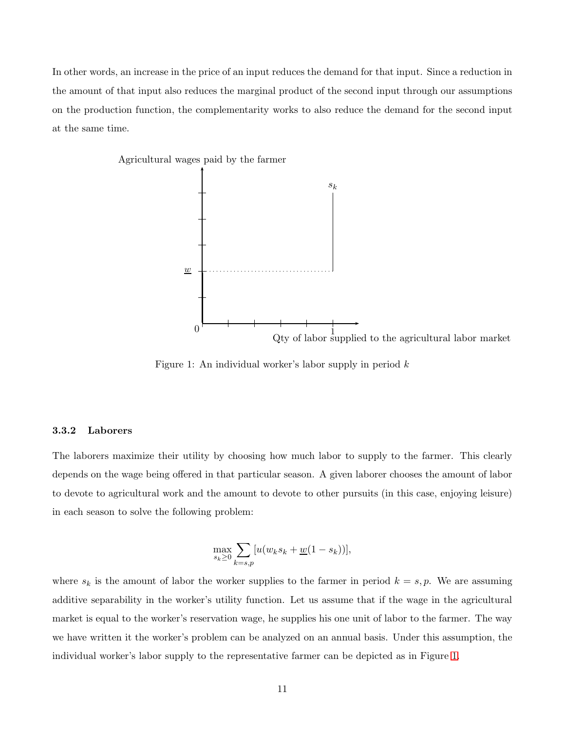In other words, an increase in the price of an input reduces the demand for that input. Since a reduction in the amount of that input also reduces the marginal product of the second input through our assumptions on the production function, the complementarity works to also reduce the demand for the second input at the same time.

<span id="page-10-0"></span>

Figure 1: An individual worker's labor supply in period  $k$ 

#### 3.3.2 Laborers

The laborers maximize their utility by choosing how much labor to supply to the farmer. This clearly depends on the wage being offered in that particular season. A given laborer chooses the amount of labor to devote to agricultural work and the amount to devote to other pursuits (in this case, enjoying leisure) in each season to solve the following problem:

$$
\max_{s_k \ge 0} \sum_{k=s,p} [u(w_k s_k + \underline{w}(1-s_k))],
$$

where  $s_k$  is the amount of labor the worker supplies to the farmer in period  $k = s, p$ . We are assuming additive separability in the worker's utility function. Let us assume that if the wage in the agricultural market is equal to the worker's reservation wage, he supplies his one unit of labor to the farmer. The way we have written it the worker's problem can be analyzed on an annual basis. Under this assumption, the individual worker's labor supply to the representative farmer can be depicted as in Figure [1.](#page-10-0)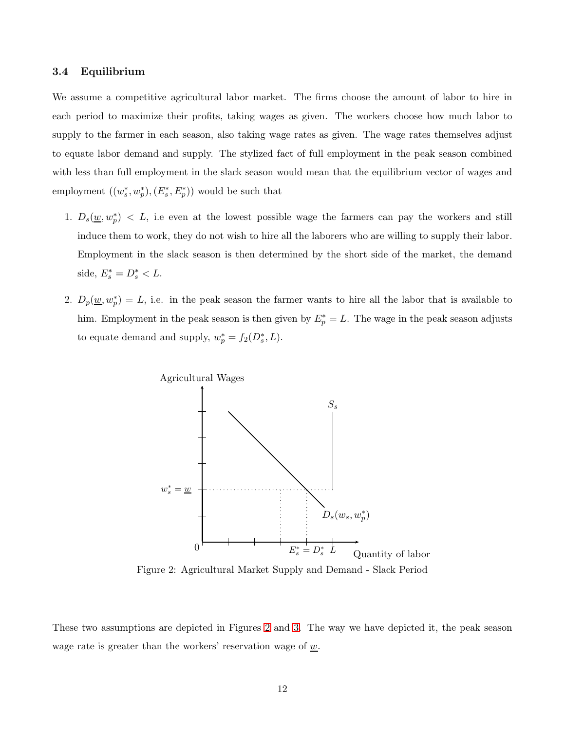#### 3.4 Equilibrium

We assume a competitive agricultural labor market. The firms choose the amount of labor to hire in each period to maximize their profits, taking wages as given. The workers choose how much labor to supply to the farmer in each season, also taking wage rates as given. The wage rates themselves adjust to equate labor demand and supply. The stylized fact of full employment in the peak season combined with less than full employment in the slack season would mean that the equilibrium vector of wages and employment  $((w_s^*, w_p^*), (E_s^*, E_p^*))$  would be such that

- 1.  $D_s(\underline{w}, w_p^*)$  < L, i.e even at the lowest possible wage the farmers can pay the workers and still induce them to work, they do not wish to hire all the laborers who are willing to supply their labor. Employment in the slack season is then determined by the short side of the market, the demand side,  $E_s^* = D_s^* < L$ .
- <span id="page-11-0"></span>2.  $D_p(\underline{w}, w_p^*) = L$ , i.e. in the peak season the farmer wants to hire all the labor that is available to him. Employment in the peak season is then given by  $E_p^* = L$ . The wage in the peak season adjusts to equate demand and supply,  $w_p^* = f_2(D_s^*, L)$ .



Figure 2: Agricultural Market Supply and Demand - Slack Period

These two assumptions are depicted in Figures [2](#page-11-0) and [3.](#page-12-1) The way we have depicted it, the peak season wage rate is greater than the workers' reservation wage of  $\underline{w}$ .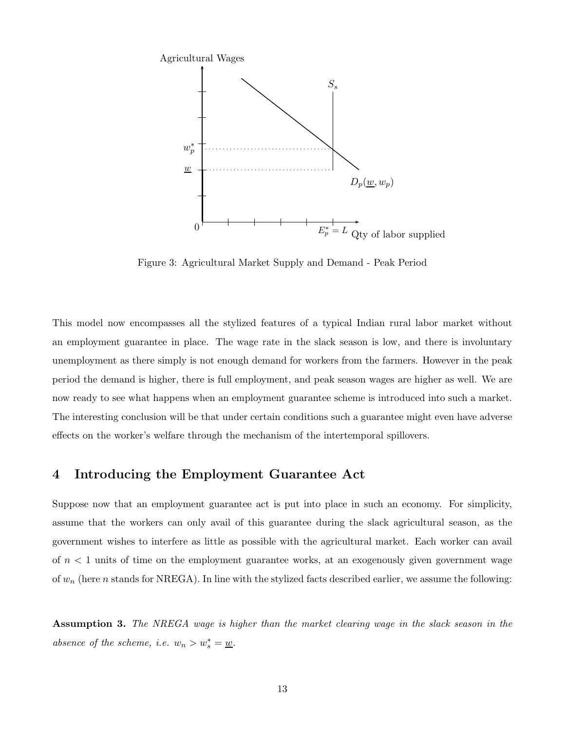<span id="page-12-1"></span>

Figure 3: Agricultural Market Supply and Demand - Peak Period

This model now encompasses all the stylized features of a typical Indian rural labor market without an employment guarantee in place. The wage rate in the slack season is low, and there is involuntary unemployment as there simply is not enough demand for workers from the farmers. However in the peak period the demand is higher, there is full employment, and peak season wages are higher as well. We are now ready to see what happens when an employment guarantee scheme is introduced into such a market. The interesting conclusion will be that under certain conditions such a guarantee might even have adverse effects on the worker's welfare through the mechanism of the intertemporal spillovers.

## <span id="page-12-0"></span>4 Introducing the Employment Guarantee Act

Suppose now that an employment guarantee act is put into place in such an economy. For simplicity, assume that the workers can only avail of this guarantee during the slack agricultural season, as the government wishes to interfere as little as possible with the agricultural market. Each worker can avail of  $n < 1$  units of time on the employment guarantee works, at an exogenously given government wage of  $w_n$  (here n stands for NREGA). In line with the stylized facts described earlier, we assume the following:

**Assumption 3.** The NREGA wage is higher than the market clearing wage in the slack season in the absence of the scheme, i.e.  $w_n > w_s^* = \underline{w}$ .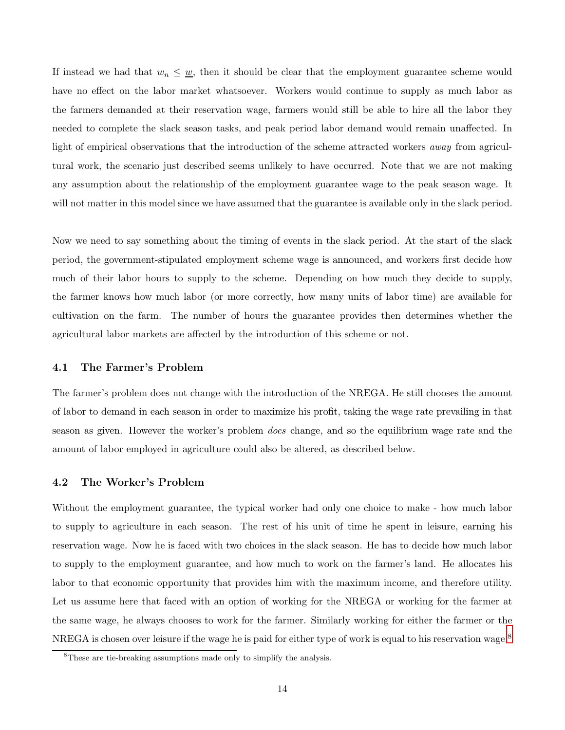If instead we had that  $w_n \leq w$ , then it should be clear that the employment guarantee scheme would have no effect on the labor market whatsoever. Workers would continue to supply as much labor as the farmers demanded at their reservation wage, farmers would still be able to hire all the labor they needed to complete the slack season tasks, and peak period labor demand would remain unaffected. In light of empirical observations that the introduction of the scheme attracted workers *away* from agricultural work, the scenario just described seems unlikely to have occurred. Note that we are not making any assumption about the relationship of the employment guarantee wage to the peak season wage. It will not matter in this model since we have assumed that the guarantee is available only in the slack period.

Now we need to say something about the timing of events in the slack period. At the start of the slack period, the government-stipulated employment scheme wage is announced, and workers first decide how much of their labor hours to supply to the scheme. Depending on how much they decide to supply, the farmer knows how much labor (or more correctly, how many units of labor time) are available for cultivation on the farm. The number of hours the guarantee provides then determines whether the agricultural labor markets are affected by the introduction of this scheme or not.

#### 4.1 The Farmer's Problem

The farmer's problem does not change with the introduction of the NREGA. He still chooses the amount of labor to demand in each season in order to maximize his profit, taking the wage rate prevailing in that season as given. However the worker's problem does change, and so the equilibrium wage rate and the amount of labor employed in agriculture could also be altered, as described below.

#### 4.2 The Worker's Problem

Without the employment guarantee, the typical worker had only one choice to make - how much labor to supply to agriculture in each season. The rest of his unit of time he spent in leisure, earning his reservation wage. Now he is faced with two choices in the slack season. He has to decide how much labor to supply to the employment guarantee, and how much to work on the farmer's land. He allocates his labor to that economic opportunity that provides him with the maximum income, and therefore utility. Let us assume here that faced with an option of working for the NREGA or working for the farmer at the same wage, he always chooses to work for the farmer. Similarly working for either the farmer or the NREGA is chosen over leisure if the wage he is paid for either type of work is equal to his reservation wage.<sup>8</sup>

<sup>&</sup>lt;sup>8</sup>These are tie-breaking assumptions made only to simplify the analysis.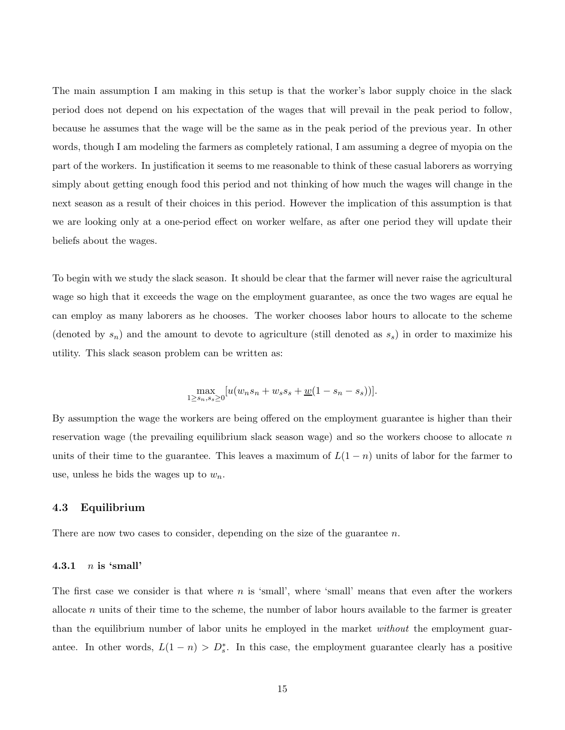The main assumption I am making in this setup is that the worker's labor supply choice in the slack period does not depend on his expectation of the wages that will prevail in the peak period to follow, because he assumes that the wage will be the same as in the peak period of the previous year. In other words, though I am modeling the farmers as completely rational, I am assuming a degree of myopia on the part of the workers. In justification it seems to me reasonable to think of these casual laborers as worrying simply about getting enough food this period and not thinking of how much the wages will change in the next season as a result of their choices in this period. However the implication of this assumption is that we are looking only at a one-period effect on worker welfare, as after one period they will update their beliefs about the wages.

To begin with we study the slack season. It should be clear that the farmer will never raise the agricultural wage so high that it exceeds the wage on the employment guarantee, as once the two wages are equal he can employ as many laborers as he chooses. The worker chooses labor hours to allocate to the scheme (denoted by  $s_n$ ) and the amount to devote to agriculture (still denoted as  $s_s$ ) in order to maximize his utility. This slack season problem can be written as:

$$
\max_{1 \ge s_n, s_s \ge 0} [u(w_n s_n + w_s s_s + \underline{w}(1 - s_n - s_s))].
$$

By assumption the wage the workers are being offered on the employment guarantee is higher than their reservation wage (the prevailing equilibrium slack season wage) and so the workers choose to allocate  $n$ units of their time to the guarantee. This leaves a maximum of  $L(1 - n)$  units of labor for the farmer to use, unless he bids the wages up to  $w_n$ .

#### 4.3 Equilibrium

There are now two cases to consider, depending on the size of the guarantee  $n$ .

#### 4.3.1  $n$  is 'small'

The first case we consider is that where  $n$  is 'small', where 'small' means that even after the workers allocate n units of their time to the scheme, the number of labor hours available to the farmer is greater than the equilibrium number of labor units he employed in the market *without* the employment guarantee. In other words,  $L(1 - n) > D_s^*$ . In this case, the employment guarantee clearly has a positive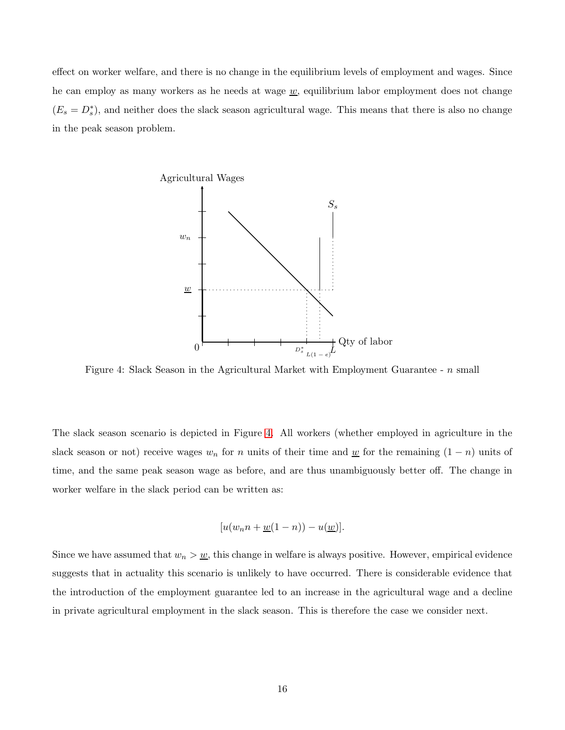<span id="page-15-0"></span>effect on worker welfare, and there is no change in the equilibrium levels of employment and wages. Since he can employ as many workers as he needs at wage  $w$ , equilibrium labor employment does not change  $(E_s = D_s^*)$ , and neither does the slack season agricultural wage. This means that there is also no change in the peak season problem.



Figure 4: Slack Season in the Agricultural Market with Employment Guarantee - n small

The slack season scenario is depicted in Figure [4.](#page-15-0) All workers (whether employed in agriculture in the slack season or not) receive wages  $w_n$  for n units of their time and <u>w</u> for the remaining  $(1 - n)$  units of time, and the same peak season wage as before, and are thus unambiguously better off. The change in worker welfare in the slack period can be written as:

$$
[u(w_n n + \underline{w}(1-n)) - u(\underline{w})].
$$

Since we have assumed that  $w_n > w$ , this change in welfare is always positive. However, empirical evidence suggests that in actuality this scenario is unlikely to have occurred. There is considerable evidence that the introduction of the employment guarantee led to an increase in the agricultural wage and a decline in private agricultural employment in the slack season. This is therefore the case we consider next.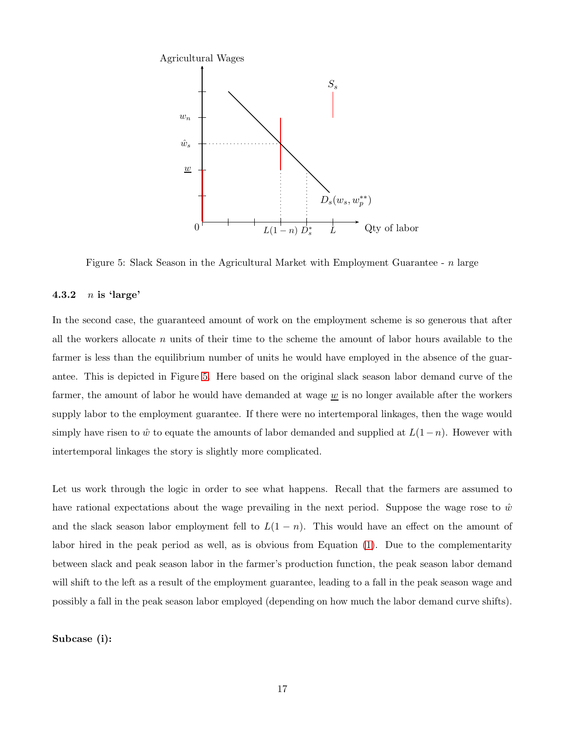<span id="page-16-0"></span>

Figure 5: Slack Season in the Agricultural Market with Employment Guarantee -  $n$  large

#### 4.3.2  $n$  is 'large'

In the second case, the guaranteed amount of work on the employment scheme is so generous that after all the workers allocate  $n$  units of their time to the scheme the amount of labor hours available to the farmer is less than the equilibrium number of units he would have employed in the absence of the guarantee. This is depicted in Figure [5.](#page-16-0) Here based on the original slack season labor demand curve of the farmer, the amount of labor he would have demanded at wage  $\underline{w}$  is no longer available after the workers supply labor to the employment guarantee. If there were no intertemporal linkages, then the wage would simply have risen to  $\hat{w}$  to equate the amounts of labor demanded and supplied at  $L(1-n)$ . However with intertemporal linkages the story is slightly more complicated.

Let us work through the logic in order to see what happens. Recall that the farmers are assumed to have rational expectations about the wage prevailing in the next period. Suppose the wage rose to  $\hat{w}$ and the slack season labor employment fell to  $L(1 - n)$ . This would have an effect on the amount of labor hired in the peak period as well, as is obvious from Equation [\(1\)](#page-9-0). Due to the complementarity between slack and peak season labor in the farmer's production function, the peak season labor demand will shift to the left as a result of the employment guarantee, leading to a fall in the peak season wage and possibly a fall in the peak season labor employed (depending on how much the labor demand curve shifts).

Subcase (i):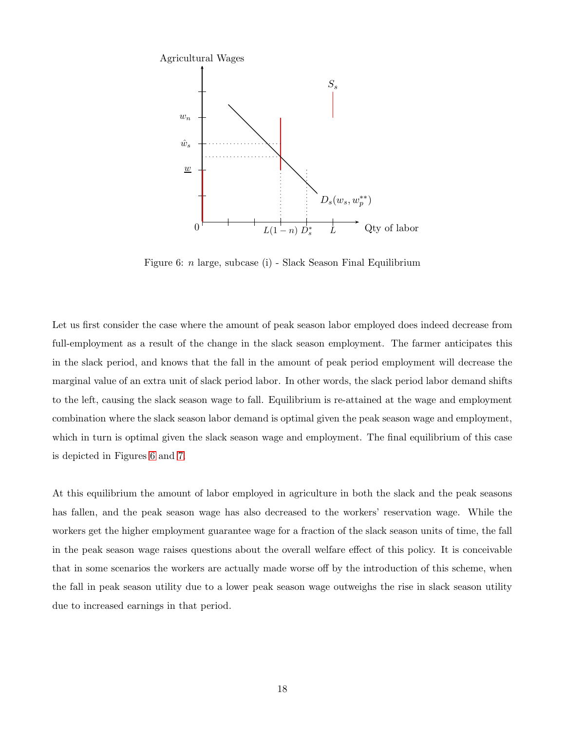<span id="page-17-0"></span>

Figure 6: n large, subcase (i) - Slack Season Final Equilibrium

Let us first consider the case where the amount of peak season labor employed does indeed decrease from full-employment as a result of the change in the slack season employment. The farmer anticipates this in the slack period, and knows that the fall in the amount of peak period employment will decrease the marginal value of an extra unit of slack period labor. In other words, the slack period labor demand shifts to the left, causing the slack season wage to fall. Equilibrium is re-attained at the wage and employment combination where the slack season labor demand is optimal given the peak season wage and employment, which in turn is optimal given the slack season wage and employment. The final equilibrium of this case is depicted in Figures [6](#page-17-0) and [7.](#page-18-0)

At this equilibrium the amount of labor employed in agriculture in both the slack and the peak seasons has fallen, and the peak season wage has also decreased to the workers' reservation wage. While the workers get the higher employment guarantee wage for a fraction of the slack season units of time, the fall in the peak season wage raises questions about the overall welfare effect of this policy. It is conceivable that in some scenarios the workers are actually made worse off by the introduction of this scheme, when the fall in peak season utility due to a lower peak season wage outweighs the rise in slack season utility due to increased earnings in that period.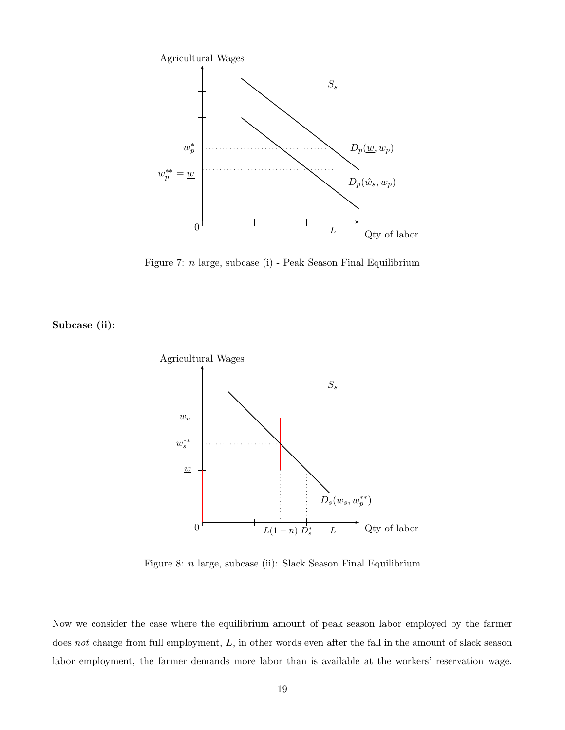<span id="page-18-0"></span>

Figure 7: n large, subcase (i) - Peak Season Final Equilibrium

<span id="page-18-1"></span>Subcase (ii):



Figure 8: n large, subcase (ii): Slack Season Final Equilibrium

Now we consider the case where the equilibrium amount of peak season labor employed by the farmer does not change from full employment, L, in other words even after the fall in the amount of slack season labor employment, the farmer demands more labor than is available at the workers' reservation wage.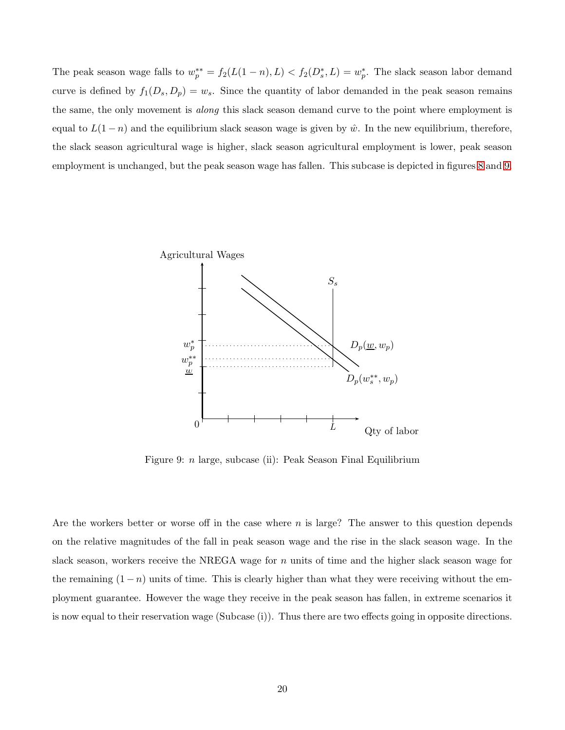The peak season wage falls to  $w_p^{**} = f_2(L(1-n), L) < f_2(D_s^*, L) = w_p^*$ . The slack season labor demand curve is defined by  $f_1(D_s, D_p) = w_s$ . Since the quantity of labor demanded in the peak season remains the same, the only movement is *along* this slack season demand curve to the point where employment is equal to  $L(1-n)$  and the equilibrium slack season wage is given by  $\hat{w}$ . In the new equilibrium, therefore, the slack season agricultural wage is higher, slack season agricultural employment is lower, peak season employment is unchanged, but the peak season wage has fallen. This subcase is depicted in figures [8](#page-18-1) and [9.](#page-19-0)

<span id="page-19-0"></span>

Figure 9: n large, subcase (ii): Peak Season Final Equilibrium

Are the workers better or worse off in the case where n is large? The answer to this question depends on the relative magnitudes of the fall in peak season wage and the rise in the slack season wage. In the slack season, workers receive the NREGA wage for  $n$  units of time and the higher slack season wage for the remaining  $(1 - n)$  units of time. This is clearly higher than what they were receiving without the employment guarantee. However the wage they receive in the peak season has fallen, in extreme scenarios it is now equal to their reservation wage (Subcase (i)). Thus there are two effects going in opposite directions.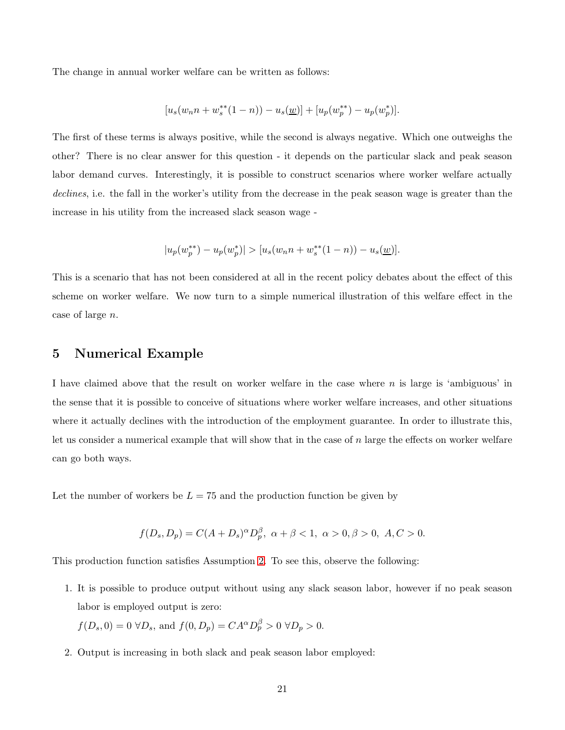The change in annual worker welfare can be written as follows:

$$
[u_s(w_n n + w_s^{**}(1 - n)) - u_s(\underline{w})] + [u_p(w_p^{**}) - u_p(w_p^{*})].
$$

The first of these terms is always positive, while the second is always negative. Which one outweighs the other? There is no clear answer for this question - it depends on the particular slack and peak season labor demand curves. Interestingly, it is possible to construct scenarios where worker welfare actually declines, i.e. the fall in the worker's utility from the decrease in the peak season wage is greater than the increase in his utility from the increased slack season wage -

$$
|u_p(w_p^{**}) - u_p(w_p^{*})| > [u_s(w_n n + w_s^{**}(1 - n)) - u_s(\underline{w})].
$$

This is a scenario that has not been considered at all in the recent policy debates about the effect of this scheme on worker welfare. We now turn to a simple numerical illustration of this welfare effect in the case of large n.

## <span id="page-20-0"></span>5 Numerical Example

I have claimed above that the result on worker welfare in the case where  $n$  is large is 'ambiguous' in the sense that it is possible to conceive of situations where worker welfare increases, and other situations where it actually declines with the introduction of the employment guarantee. In order to illustrate this, let us consider a numerical example that will show that in the case of n large the effects on worker welfare can go both ways.

Let the number of workers be  $L = 75$  and the production function be given by

$$
f(D_s, D_p) = C(A + D_s)^{\alpha} D_p^{\beta}, \ \alpha + \beta < 1, \ \alpha > 0, \beta > 0, \ A, C > 0.
$$

This production function satisfies Assumption [2.](#page-8-0) To see this, observe the following:

1. It is possible to produce output without using any slack season labor, however if no peak season labor is employed output is zero:

$$
f(D_s, 0) = 0 \ \forall D_s
$$
, and  $f(0, D_p) = CA^{\alpha} D_p^{\beta} > 0 \ \forall D_p > 0$ .

2. Output is increasing in both slack and peak season labor employed: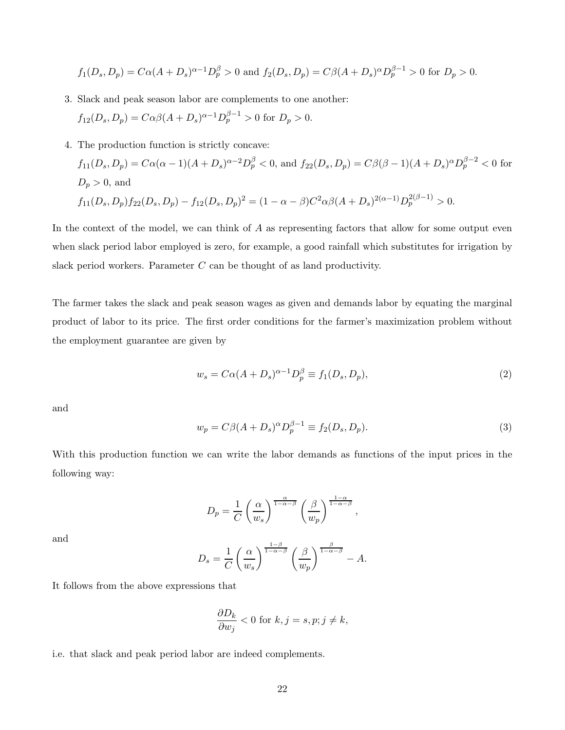$$
f_1(D_s, D_p) = C\alpha(A + D_s)^{\alpha-1}D_p^{\beta} > 0
$$
 and  $f_2(D_s, D_p) = C\beta(A + D_s)^{\alpha}D_p^{\beta-1} > 0$  for  $D_p > 0$ .

- 3. Slack and peak season labor are complements to one another:  $f_{12}(D_s, D_p) = C\alpha\beta(A + D_s)^{\alpha-1}D_p^{\beta-1} > 0$  for  $D_p > 0$ .
- 4. The production function is strictly concave:

$$
f_{11}(D_s, D_p) = C\alpha(\alpha - 1)(A + D_s)^{\alpha - 2}D_p^{\beta} < 0, \text{ and } f_{22}(D_s, D_p) = C\beta(\beta - 1)(A + D_s)^{\alpha}D_p^{\beta - 2} < 0 \text{ for }
$$
  
  $D_p > 0$ , and  
  $f_{11}(D_s, D_p)f_{22}(D_s, D_p) - f_{12}(D_s, D_p)^2 = (1 - \alpha - \beta)C^2\alpha\beta(A + D_s)^{2(\alpha - 1)}D_p^{2(\beta - 1)} > 0.$ 

In the context of the model, we can think of A as representing factors that allow for some output even when slack period labor employed is zero, for example, a good rainfall which substitutes for irrigation by slack period workers. Parameter  $C$  can be thought of as land productivity.

The farmer takes the slack and peak season wages as given and demands labor by equating the marginal product of labor to its price. The first order conditions for the farmer's maximization problem without the employment guarantee are given by

<span id="page-21-0"></span>
$$
w_s = C\alpha (A + D_s)^{\alpha - 1} D_p^{\beta} \equiv f_1(D_s, D_p), \tag{2}
$$

<span id="page-21-1"></span>and

$$
w_p = C\beta (A + D_s)^{\alpha} D_p^{\beta - 1} \equiv f_2(D_s, D_p). \tag{3}
$$

With this production function we can write the labor demands as functions of the input prices in the following way:

$$
D_p = \frac{1}{C} \left(\frac{\alpha}{w_s}\right)^{\frac{\alpha}{1-\alpha-\beta}} \left(\frac{\beta}{w_p}\right)^{\frac{1-\alpha}{1-\alpha-\beta}},
$$

and

$$
D_s = \frac{1}{C} \left(\frac{\alpha}{w_s}\right)^{\frac{1-\beta}{1-\alpha-\beta}} \left(\frac{\beta}{w_p}\right)^{\frac{\beta}{1-\alpha-\beta}} - A.
$$

It follows from the above expressions that

$$
\frac{\partial D_k}{\partial w_j} < 0 \text{ for } k, j = s, p; j \neq k,
$$

i.e. that slack and peak period labor are indeed complements.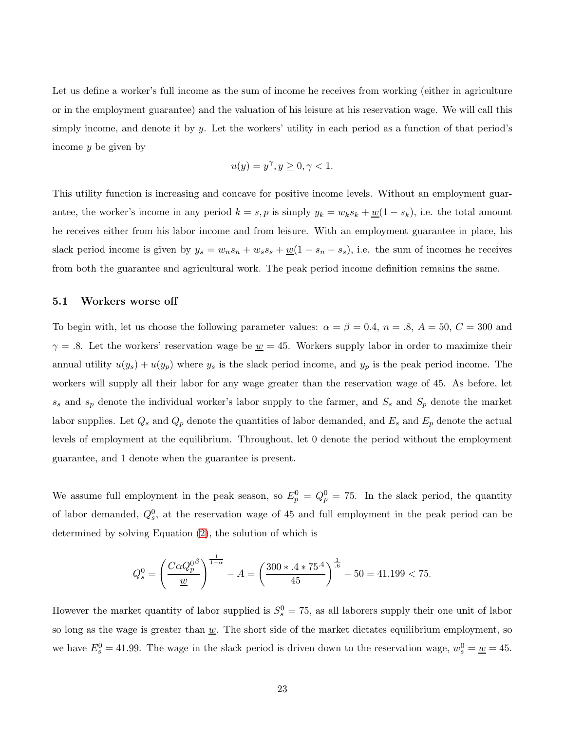Let us define a worker's full income as the sum of income he receives from working (either in agriculture or in the employment guarantee) and the valuation of his leisure at his reservation wage. We will call this simply income, and denote it by y. Let the workers' utility in each period as a function of that period's income y be given by

$$
u(y) = y^{\gamma}, y \ge 0, \gamma < 1.
$$

This utility function is increasing and concave for positive income levels. Without an employment guarantee, the worker's income in any period  $k = s, p$  is simply  $y_k = w_k s_k + \underline{w}(1 - s_k)$ , i.e. the total amount he receives either from his labor income and from leisure. With an employment guarantee in place, his slack period income is given by  $y_s = w_n s_n + w_s s_s + \underline{w}(1 - s_n - s_s)$ , i.e. the sum of incomes he receives from both the guarantee and agricultural work. The peak period income definition remains the same.

#### 5.1 Workers worse off

To begin with, let us choose the following parameter values:  $\alpha = \beta = 0.4$ ,  $n = .8$ ,  $A = 50$ ,  $C = 300$  and  $\gamma = .8$ . Let the workers' reservation wage be  $\underline{w} = 45$ . Workers supply labor in order to maximize their annual utility  $u(y_s) + u(y_p)$  where  $y_s$  is the slack period income, and  $y_p$  is the peak period income. The workers will supply all their labor for any wage greater than the reservation wage of 45. As before, let  $s_s$  and  $s_p$  denote the individual worker's labor supply to the farmer, and  $S_s$  and  $S_p$  denote the market labor supplies. Let  $Q_s$  and  $Q_p$  denote the quantities of labor demanded, and  $E_s$  and  $E_p$  denote the actual levels of employment at the equilibrium. Throughout, let 0 denote the period without the employment guarantee, and 1 denote when the guarantee is present.

We assume full employment in the peak season, so  $E_p^0 = Q_p^0 = 75$ . In the slack period, the quantity of labor demanded,  $Q_s^0$ , at the reservation wage of 45 and full employment in the peak period can be determined by solving Equation [\(2\)](#page-21-0), the solution of which is

$$
Q_s^0 = \left(\frac{C\alpha Q_p^{0\beta}}{\underline{w}}\right)^{\frac{1}{1-\alpha}} - A = \left(\frac{300 * .4 * 75^{.4}}{45}\right)^{\frac{1}{.6}} - 50 = 41.199 < 75.
$$

However the market quantity of labor supplied is  $S_s^0 = 75$ , as all laborers supply their one unit of labor so long as the wage is greater than  $\underline{w}$ . The short side of the market dictates equilibrium employment, so we have  $E_s^0 = 41.99$ . The wage in the slack period is driven down to the reservation wage,  $w_s^0 = \underline{w} = 45$ .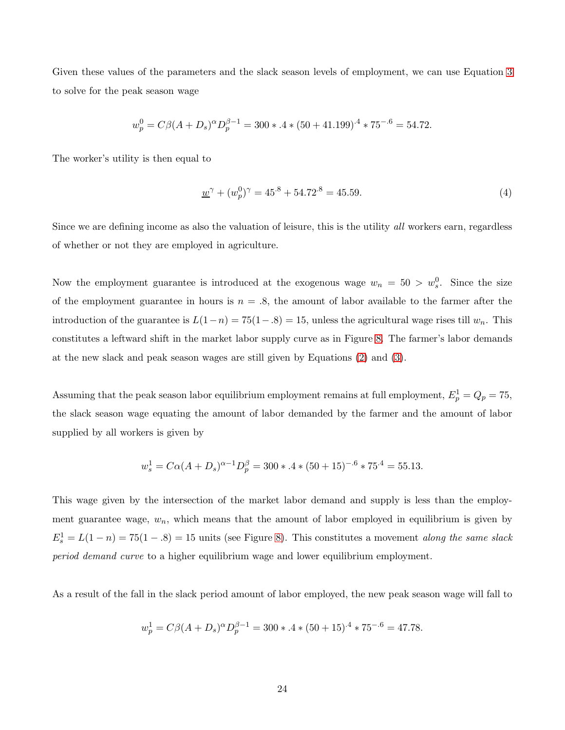Given these values of the parameters and the slack season levels of employment, we can use Equation [3](#page-21-1) to solve for the peak season wage

$$
w_p^0 = C\beta (A + D_s)^{\alpha} D_p^{\beta - 1} = 300 \times 4 \times (50 + 41.199)^{.4} \times 75^{-.6} = 54.72.
$$

The worker's utility is then equal to

<span id="page-23-0"></span>
$$
\underline{w}^{\gamma} + (w_p^0)^{\gamma} = 45^8 + 54.72^8 = 45.59. \tag{4}
$$

Since we are defining income as also the valuation of leisure, this is the utility all workers earn, regardless of whether or not they are employed in agriculture.

Now the employment guarantee is introduced at the exogenous wage  $w_n = 50 > w_s^0$ . Since the size of the employment guarantee in hours is  $n = .8$ , the amount of labor available to the farmer after the introduction of the guarantee is  $L(1-n) = 75(1-.8) = 15$ , unless the agricultural wage rises till  $w_n$ . This constitutes a leftward shift in the market labor supply curve as in Figure [8.](#page-18-1) The farmer's labor demands at the new slack and peak season wages are still given by Equations [\(2\)](#page-21-0) and [\(3\)](#page-21-1).

Assuming that the peak season labor equilibrium employment remains at full employment,  $E_p^1 = Q_p = 75$ , the slack season wage equating the amount of labor demanded by the farmer and the amount of labor supplied by all workers is given by

$$
w_s^1 = C\alpha (A + D_s)^{\alpha - 1} D_p^{\beta} = 300 \times 4 \times (50 + 15)^{-.6} \times 75^{.4} = 55.13.
$$

This wage given by the intersection of the market labor demand and supply is less than the employment guarantee wage,  $w_n$ , which means that the amount of labor employed in equilibrium is given by  $E_s^1 = L(1 - n) = 75(1 - .8) = 15$  units (see Figure [8\)](#page-18-1). This constitutes a movement *along the same slack* period demand curve to a higher equilibrium wage and lower equilibrium employment.

As a result of the fall in the slack period amount of labor employed, the new peak season wage will fall to

$$
w_p^1 = C\beta (A + D_s)^{\alpha} D_p^{\beta - 1} = 300 \times 4 \times (50 + 15)^{.4} \times 75^{-.6} = 47.78.
$$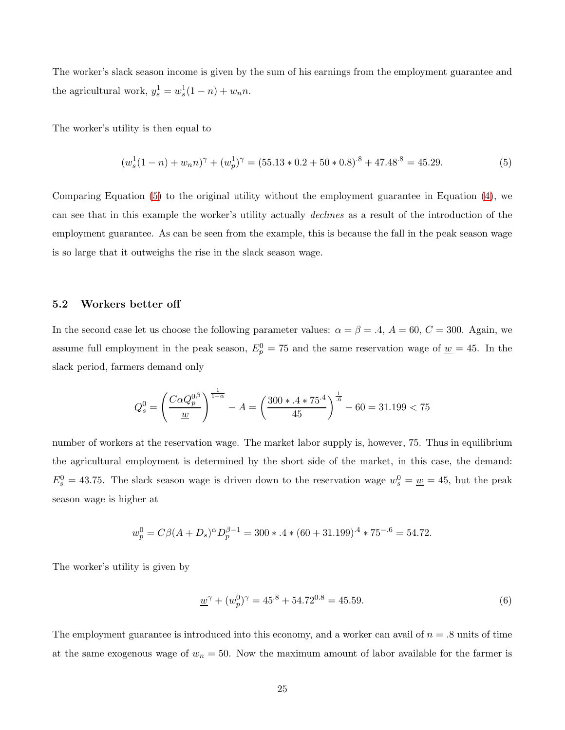The worker's slack season income is given by the sum of his earnings from the employment guarantee and the agricultural work,  $y_s^1 = w_s^1(1 - n) + w_n n$ .

The worker's utility is then equal to

<span id="page-24-0"></span>
$$
(w_s^1(1-n) + w_n n)^\gamma + (w_p^1)^\gamma = (55.13 \times 0.2 + 50 \times 0.8)^{.8} + 47.48^{.8} = 45.29.
$$
 (5)

Comparing Equation [\(5\)](#page-24-0) to the original utility without the employment guarantee in Equation [\(4\)](#page-23-0), we can see that in this example the worker's utility actually declines as a result of the introduction of the employment guarantee. As can be seen from the example, this is because the fall in the peak season wage is so large that it outweighs the rise in the slack season wage.

#### 5.2 Workers better off

In the second case let us choose the following parameter values:  $\alpha = \beta = .4$ ,  $A = 60$ ,  $C = 300$ . Again, we assume full employment in the peak season,  $E_p^0 = 75$  and the same reservation wage of  $\underline{w} = 45$ . In the slack period, farmers demand only

$$
Q_s^0 = \left(\frac{C\alpha Q_p^{0\beta}}{\underline{w}}\right)^{\frac{1}{1-\alpha}} - A = \left(\frac{300 * .4 * 75^4}{45}\right)^{\frac{1}{.6}} - 60 = 31.199 < 75
$$

number of workers at the reservation wage. The market labor supply is, however, 75. Thus in equilibrium the agricultural employment is determined by the short side of the market, in this case, the demand:  $E_s^0 = 43.75$ . The slack season wage is driven down to the reservation wage  $w_s^0 = \underline{w} = 45$ , but the peak season wage is higher at

$$
w_p^0 = C\beta (A + D_s)^{\alpha} D_p^{\beta - 1} = 300 \times 4 \times (60 + 31.199)^{.4} \times 75^{-.6} = 54.72.
$$

The worker's utility is given by

<span id="page-24-1"></span>
$$
\underline{w}^{\gamma} + (w_p^0)^{\gamma} = 45^{.8} + 54.72^{0.8} = 45.59. \tag{6}
$$

The employment guarantee is introduced into this economy, and a worker can avail of  $n = .8$  units of time at the same exogenous wage of  $w_n = 50$ . Now the maximum amount of labor available for the farmer is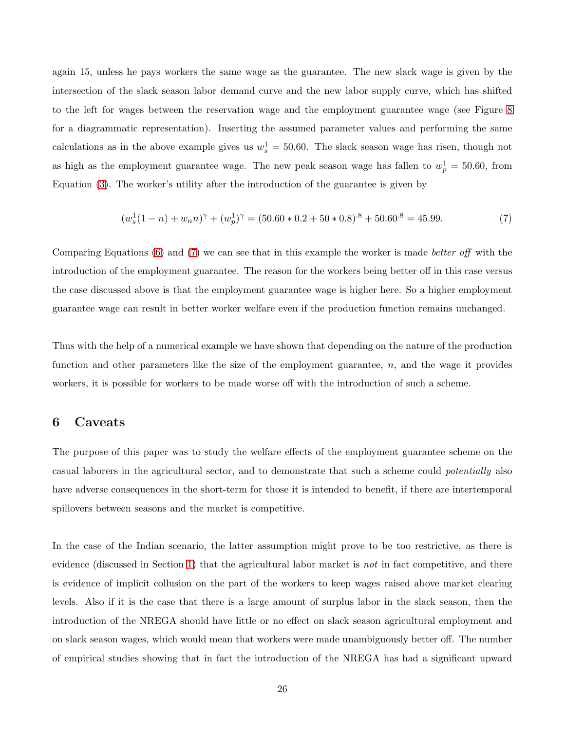again 15, unless he pays workers the same wage as the guarantee. The new slack wage is given by the intersection of the slack season labor demand curve and the new labor supply curve, which has shifted to the left for wages between the reservation wage and the employment guarantee wage (see Figure [8](#page-18-1) for a diagrammatic representation). Inserting the assumed parameter values and performing the same calculations as in the above example gives us  $w_s^1 = 50.60$ . The slack season wage has risen, though not as high as the employment guarantee wage. The new peak season wage has fallen to  $w_p^1 = 50.60$ , from Equation [\(3\)](#page-21-1). The worker's utility after the introduction of the guarantee is given by

<span id="page-25-1"></span>
$$
(w_s^1(1-n) + w_n n)^\gamma + (w_p^1)^\gamma = (50.60 \times 0.2 + 50 \times 0.8)^{.8} + 50.60^{.8} = 45.99. \tag{7}
$$

Comparing Equations  $(6)$  and  $(7)$  we can see that in this example the worker is made *better off* with the introduction of the employment guarantee. The reason for the workers being better off in this case versus the case discussed above is that the employment guarantee wage is higher here. So a higher employment guarantee wage can result in better worker welfare even if the production function remains unchanged.

Thus with the help of a numerical example we have shown that depending on the nature of the production function and other parameters like the size of the employment guarantee,  $n$ , and the wage it provides workers, it is possible for workers to be made worse off with the introduction of such a scheme.

## <span id="page-25-0"></span>6 Caveats

The purpose of this paper was to study the welfare effects of the employment guarantee scheme on the casual laborers in the agricultural sector, and to demonstrate that such a scheme could potentially also have adverse consequences in the short-term for those it is intended to benefit, if there are intertemporal spillovers between seasons and the market is competitive.

In the case of the Indian scenario, the latter assumption might prove to be too restrictive, as there is evidence (discussed in Section [1\)](#page-0-0) that the agricultural labor market is not in fact competitive, and there is evidence of implicit collusion on the part of the workers to keep wages raised above market clearing levels. Also if it is the case that there is a large amount of surplus labor in the slack season, then the introduction of the NREGA should have little or no effect on slack season agricultural employment and on slack season wages, which would mean that workers were made unambiguously better off. The number of empirical studies showing that in fact the introduction of the NREGA has had a significant upward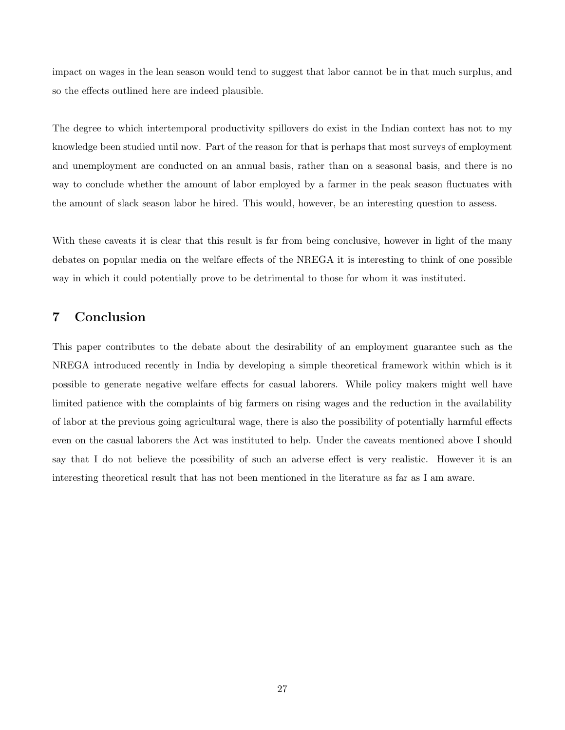impact on wages in the lean season would tend to suggest that labor cannot be in that much surplus, and so the effects outlined here are indeed plausible.

The degree to which intertemporal productivity spillovers do exist in the Indian context has not to my knowledge been studied until now. Part of the reason for that is perhaps that most surveys of employment and unemployment are conducted on an annual basis, rather than on a seasonal basis, and there is no way to conclude whether the amount of labor employed by a farmer in the peak season fluctuates with the amount of slack season labor he hired. This would, however, be an interesting question to assess.

With these caveats it is clear that this result is far from being conclusive, however in light of the many debates on popular media on the welfare effects of the NREGA it is interesting to think of one possible way in which it could potentially prove to be detrimental to those for whom it was instituted.

## <span id="page-26-0"></span>7 Conclusion

This paper contributes to the debate about the desirability of an employment guarantee such as the NREGA introduced recently in India by developing a simple theoretical framework within which is it possible to generate negative welfare effects for casual laborers. While policy makers might well have limited patience with the complaints of big farmers on rising wages and the reduction in the availability of labor at the previous going agricultural wage, there is also the possibility of potentially harmful effects even on the casual laborers the Act was instituted to help. Under the caveats mentioned above I should say that I do not believe the possibility of such an adverse effect is very realistic. However it is an interesting theoretical result that has not been mentioned in the literature as far as I am aware.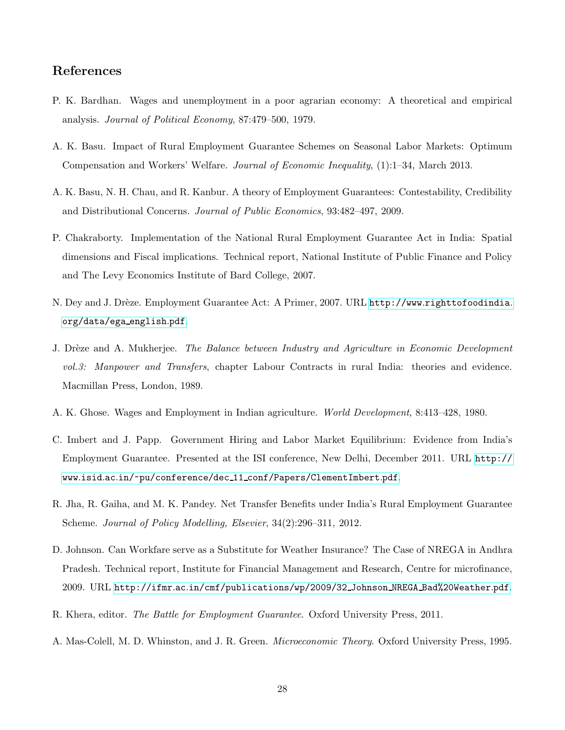# References

- <span id="page-27-8"></span>P. K. Bardhan. Wages and unemployment in a poor agrarian economy: A theoretical and empirical analysis. Journal of Political Economy, 87:479–500, 1979.
- <span id="page-27-4"></span>A. K. Basu. Impact of Rural Employment Guarantee Schemes on Seasonal Labor Markets: Optimum Compensation and Workers' Welfare. Journal of Economic Inequality, (1):1–34, March 2013.
- <span id="page-27-10"></span>A. K. Basu, N. H. Chau, and R. Kanbur. A theory of Employment Guarantees: Contestability, Credibility and Distributional Concerns. Journal of Public Economics, 93:482–497, 2009.
- <span id="page-27-1"></span>P. Chakraborty. Implementation of the National Rural Employment Guarantee Act in India: Spatial dimensions and Fiscal implications. Technical report, National Institute of Public Finance and Policy and The Levy Economics Institute of Bard College, 2007.
- <span id="page-27-0"></span>N. Dey and J. Drèze. Employment Guarantee Act: A Primer, 2007. URL http://www.[righttofoodindia](http://www.righttofoodindia.org/data/ega_english.pdf). [org/data/ega](http://www.righttofoodindia.org/data/ega_english.pdf) english.pdf.
- <span id="page-27-7"></span>J. Drèze and A. Mukherjee. *The Balance between Industry and Agriculture in Economic Development* vol.3: Manpower and Transfers, chapter Labour Contracts in rural India: theories and evidence. Macmillan Press, London, 1989.
- <span id="page-27-9"></span>A. K. Ghose. Wages and Employment in Indian agriculture. World Development, 8:413–428, 1980.
- <span id="page-27-6"></span>C. Imbert and J. Papp. Government Hiring and Labor Market Equilibrium: Evidence from India's Employment Guarantee. Presented at the ISI conference, New Delhi, December 2011. URL [http://](http://www.isid.ac.in/~pu/conference/dec_11_conf/Papers/ClementImbert.pdf) www.isid.ac.in/~pu/conference/dec 11 [conf/Papers/ClementImbert](http://www.isid.ac.in/~pu/conference/dec_11_conf/Papers/ClementImbert.pdf).pdf.
- <span id="page-27-5"></span>R. Jha, R. Gaiha, and M. K. Pandey. Net Transfer Benefits under India's Rural Employment Guarantee Scheme. Journal of Policy Modelling, Elsevier, 34(2):296–311, 2012.
- <span id="page-27-3"></span>D. Johnson. Can Workfare serve as a Substitute for Weather Insurance? The Case of NREGA in Andhra Pradesh. Technical report, Institute for Financial Management and Research, Centre for microfinance, 2009. URL http://ifmr.ac.[in/cmf/publications/wp/2009/32](http://ifmr.ac.in/cmf/publications/wp/2009/32_Johnson_NREGA_Bad%20Weather.pdf) Johnson NREGA Bad%20Weather.pdf.
- <span id="page-27-2"></span>R. Khera, editor. The Battle for Employment Guarantee. Oxford University Press, 2011.
- <span id="page-27-11"></span>A. Mas-Colell, M. D. Whinston, and J. R. Green. Microeconomic Theory. Oxford University Press, 1995.